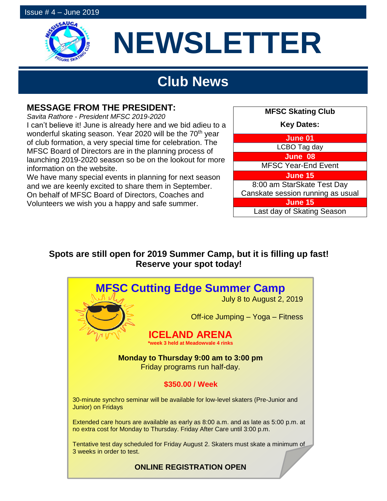

# **NEWSLETTER**

## **Club News**

## **MESSAGE FROM THE PRESIDENT:**

*Savita Rathore - President MFSC 2019-2020* I can't believe it! June is already here and we bid adieu to a wonderful skating season. Year 2020 will be the 70<sup>th</sup> year of club formation, a very special time for celebration. The MFSC Board of Directors are in the planning process of launching 2019-2020 season so be on the lookout for more information on the website.

We have many special events in planning for next season and we are keenly excited to share them in September. On behalf of MFSC Board of Directors, Coaches and Volunteers we wish you a happy and safe summer.



## **Spots are still open for 2019 Summer Camp, but it is filling up fast! Reserve your spot today!**